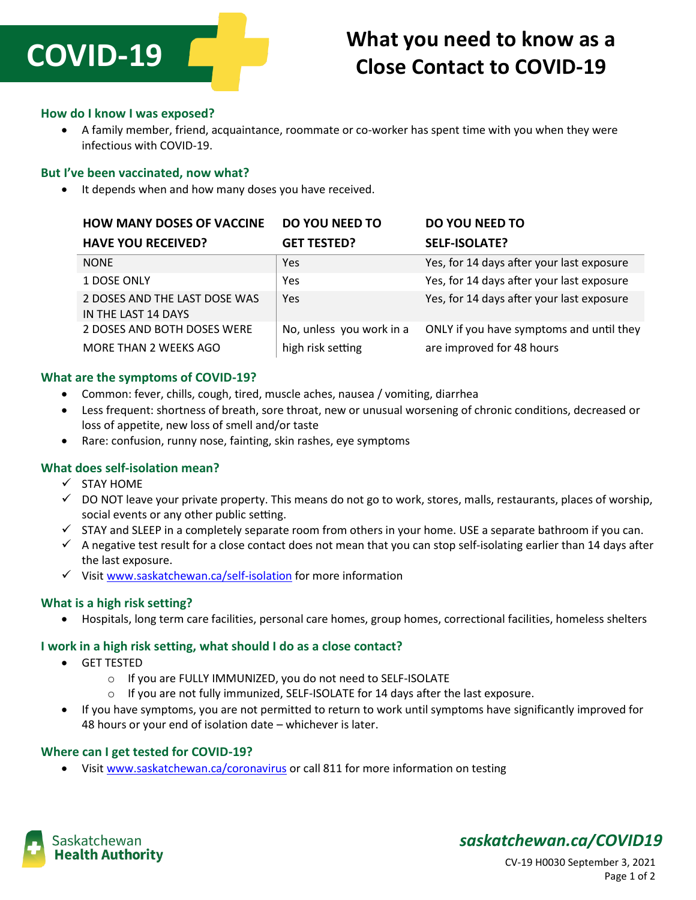

# **What you need to know as a Close Contact to COVID-19**

#### **How do I know I was exposed?**

 A family member, friend, acquaintance, roommate or co-worker has spent time with you when they were infectious with COVID-19.

#### **But I've been vaccinated, now what?**

• It depends when and how many doses you have received.

| <b>HOW MANY DOSES OF VACCINE</b>                     | <b>DO YOU NEED TO</b>    | <b>DO YOU NEED TO</b>                     |
|------------------------------------------------------|--------------------------|-------------------------------------------|
| <b>HAVE YOU RECEIVED?</b>                            | <b>GET TESTED?</b>       | <b>SELF-ISOLATE?</b>                      |
| <b>NONE</b>                                          | Yes                      | Yes, for 14 days after your last exposure |
| 1 DOSE ONLY                                          | Yes                      | Yes, for 14 days after your last exposure |
| 2 DOSES AND THE LAST DOSE WAS<br>IN THE LAST 14 DAYS | Yes                      | Yes, for 14 days after your last exposure |
| 2 DOSES AND BOTH DOSES WERE                          | No, unless you work in a | ONLY if you have symptoms and until they  |
| MORE THAN 2 WEEKS AGO                                | high risk setting        | are improved for 48 hours                 |

#### **What are the symptoms of COVID-19?**

- Common: fever, chills, cough, tired, muscle aches, nausea / vomiting, diarrhea
- Less frequent: shortness of breath, sore throat, new or unusual worsening of chronic conditions, decreased or loss of appetite, new loss of smell and/or taste
- Rare: confusion, runny nose, fainting, skin rashes, eye symptoms

#### **What does self-isolation mean?**

- $\checkmark$  STAY HOME
- $\checkmark$  DO NOT leave your private property. This means do not go to work, stores, malls, restaurants, places of worship, social events or any other public setting.
- $\checkmark$  STAY and SLEEP in a completely separate room from others in your home. USE a separate bathroom if you can.
- $\checkmark$  A negative test result for a close contact does not mean that you can stop self-isolating earlier than 14 days after the last exposure.
- $\checkmark$  Visit [www.saskatchewan.ca/self-isolation](http://www.saskatchewan.ca/self-isolation) for more information

#### **What is a high risk setting?**

Hospitals, long term care facilities, personal care homes, group homes, correctional facilities, homeless shelters

#### **I work in a high risk setting, what should I do as a close contact?**

- GET TESTED
	- o If you are FULLY IMMUNIZED, you do not need to SELF-ISOLATE
	- $\circ$  If you are not fully immunized, SELF-ISOLATE for 14 days after the last exposure.
- If you have symptoms, you are not permitted to return to work until symptoms have significantly improved for 48 hours or your end of isolation date – whichever is later.

#### **Where can I get tested for COVID-19?**

Visit [www.saskatchewan.ca/coronavirus](http://www.saskatchewan.ca/coronavirus) or call 811 for more information on testing



## *saskatchewan.ca/COVID19*

CV-19 H0030 September 3, 2021 Page 1 of 2